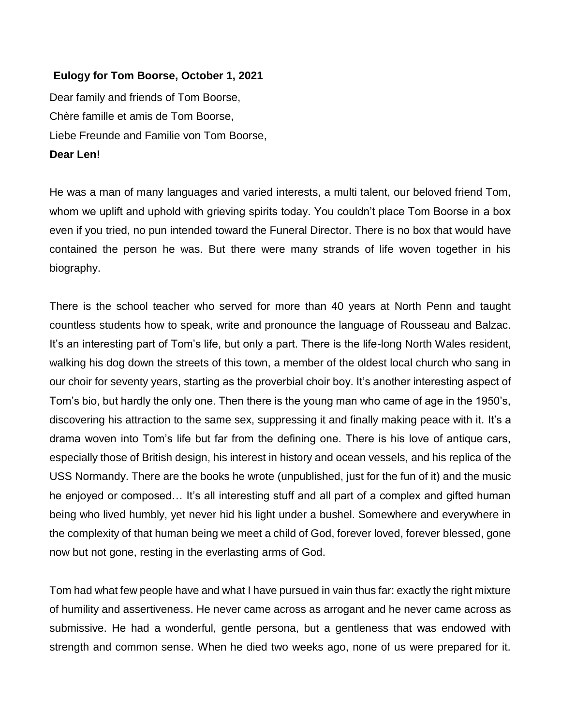## **Eulogy for Tom Boorse, October 1, 2021**

Dear family and friends of Tom Boorse, Chère famille et amis de Tom Boorse, Liebe Freunde and Familie von Tom Boorse, **Dear Len!**

He was a man of many languages and varied interests, a multi talent, our beloved friend Tom, whom we uplift and uphold with grieving spirits today. You couldn't place Tom Boorse in a box even if you tried, no pun intended toward the Funeral Director. There is no box that would have contained the person he was. But there were many strands of life woven together in his biography.

There is the school teacher who served for more than 40 years at North Penn and taught countless students how to speak, write and pronounce the language of Rousseau and Balzac. It's an interesting part of Tom's life, but only a part. There is the life-long North Wales resident, walking his dog down the streets of this town, a member of the oldest local church who sang in our choir for seventy years, starting as the proverbial choir boy. It's another interesting aspect of Tom's bio, but hardly the only one. Then there is the young man who came of age in the 1950's, discovering his attraction to the same sex, suppressing it and finally making peace with it. It's a drama woven into Tom's life but far from the defining one. There is his love of antique cars, especially those of British design, his interest in history and ocean vessels, and his replica of the USS Normandy. There are the books he wrote (unpublished, just for the fun of it) and the music he enjoyed or composed... It's all interesting stuff and all part of a complex and gifted human being who lived humbly, yet never hid his light under a bushel. Somewhere and everywhere in the complexity of that human being we meet a child of God, forever loved, forever blessed, gone now but not gone, resting in the everlasting arms of God.

Tom had what few people have and what I have pursued in vain thus far: exactly the right mixture of humility and assertiveness. He never came across as arrogant and he never came across as submissive. He had a wonderful, gentle persona, but a gentleness that was endowed with strength and common sense. When he died two weeks ago, none of us were prepared for it.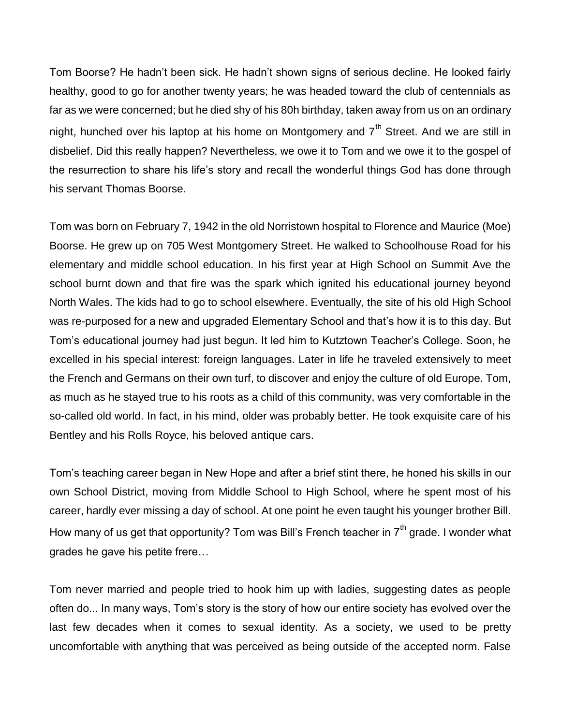Tom Boorse? He hadn't been sick. He hadn't shown signs of serious decline. He looked fairly healthy, good to go for another twenty years; he was headed toward the club of centennials as far as we were concerned; but he died shy of his 80h birthday, taken away from us on an ordinary night, hunched over his laptop at his home on Montgomery and  $7<sup>th</sup>$  Street. And we are still in disbelief. Did this really happen? Nevertheless, we owe it to Tom and we owe it to the gospel of the resurrection to share his life's story and recall the wonderful things God has done through his servant Thomas Boorse.

Tom was born on February 7, 1942 in the old Norristown hospital to Florence and Maurice (Moe) Boorse. He grew up on 705 West Montgomery Street. He walked to Schoolhouse Road for his elementary and middle school education. In his first year at High School on Summit Ave the school burnt down and that fire was the spark which ignited his educational journey beyond North Wales. The kids had to go to school elsewhere. Eventually, the site of his old High School was re-purposed for a new and upgraded Elementary School and that's how it is to this day. But Tom's educational journey had just begun. It led him to Kutztown Teacher's College. Soon, he excelled in his special interest: foreign languages. Later in life he traveled extensively to meet the French and Germans on their own turf, to discover and enjoy the culture of old Europe. Tom, as much as he stayed true to his roots as a child of this community, was very comfortable in the so-called old world. In fact, in his mind, older was probably better. He took exquisite care of his Bentley and his Rolls Royce, his beloved antique cars.

Tom's teaching career began in New Hope and after a brief stint there, he honed his skills in our own School District, moving from Middle School to High School, where he spent most of his career, hardly ever missing a day of school. At one point he even taught his younger brother Bill. How many of us get that opportunity? Tom was Bill's French teacher in  $7<sup>th</sup>$  grade. I wonder what grades he gave his petite frere…

Tom never married and people tried to hook him up with ladies, suggesting dates as people often do... In many ways, Tom's story is the story of how our entire society has evolved over the last few decades when it comes to sexual identity. As a society, we used to be pretty uncomfortable with anything that was perceived as being outside of the accepted norm. False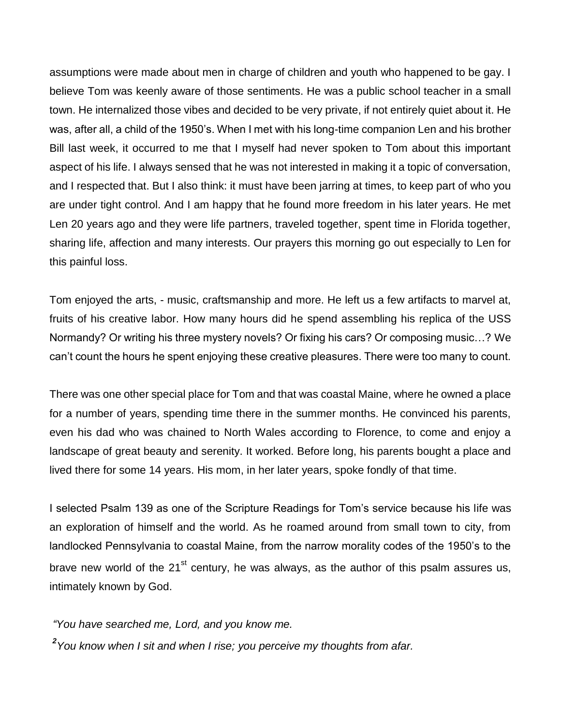assumptions were made about men in charge of children and youth who happened to be gay. I believe Tom was keenly aware of those sentiments. He was a public school teacher in a small town. He internalized those vibes and decided to be very private, if not entirely quiet about it. He was, after all, a child of the 1950's. When I met with his long-time companion Len and his brother Bill last week, it occurred to me that I myself had never spoken to Tom about this important aspect of his life. I always sensed that he was not interested in making it a topic of conversation, and I respected that. But I also think: it must have been jarring at times, to keep part of who you are under tight control. And I am happy that he found more freedom in his later years. He met Len 20 years ago and they were life partners, traveled together, spent time in Florida together, sharing life, affection and many interests. Our prayers this morning go out especially to Len for this painful loss.

Tom enjoyed the arts, - music, craftsmanship and more. He left us a few artifacts to marvel at, fruits of his creative labor. How many hours did he spend assembling his replica of the USS Normandy? Or writing his three mystery novels? Or fixing his cars? Or composing music…? We can't count the hours he spent enjoying these creative pleasures. There were too many to count.

There was one other special place for Tom and that was coastal Maine, where he owned a place for a number of years, spending time there in the summer months. He convinced his parents, even his dad who was chained to North Wales according to Florence, to come and enjoy a landscape of great beauty and serenity. It worked. Before long, his parents bought a place and lived there for some 14 years. His mom, in her later years, spoke fondly of that time.

I selected Psalm 139 as one of the Scripture Readings for Tom's service because his life was an exploration of himself and the world. As he roamed around from small town to city, from landlocked Pennsylvania to coastal Maine, from the narrow morality codes of the 1950's to the brave new world of the  $21^{st}$  century, he was always, as the author of this psalm assures us, intimately known by God.

*"You have searched me, Lord, and you know me.*

*2 You know when I sit and when I rise; you perceive my thoughts from afar.*